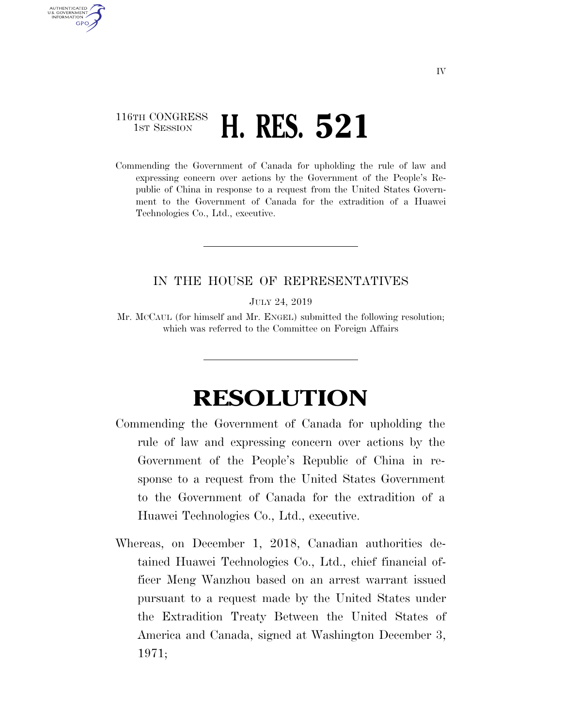## 116TH CONGRESS **1st Session H. RES. 521**

AUTHENTICATED U.S. GOVERNMENT **GPO** 

> Commending the Government of Canada for upholding the rule of law and expressing concern over actions by the Government of the People's Republic of China in response to a request from the United States Government to the Government of Canada for the extradition of a Huawei Technologies Co., Ltd., executive.

## IN THE HOUSE OF REPRESENTATIVES

JULY 24, 2019

Mr. MCCAUL (for himself and Mr. ENGEL) submitted the following resolution; which was referred to the Committee on Foreign Affairs

## **RESOLUTION**

- Commending the Government of Canada for upholding the rule of law and expressing concern over actions by the Government of the People's Republic of China in response to a request from the United States Government to the Government of Canada for the extradition of a Huawei Technologies Co., Ltd., executive.
- Whereas, on December 1, 2018, Canadian authorities detained Huawei Technologies Co., Ltd., chief financial officer Meng Wanzhou based on an arrest warrant issued pursuant to a request made by the United States under the Extradition Treaty Between the United States of America and Canada, signed at Washington December 3, 1971;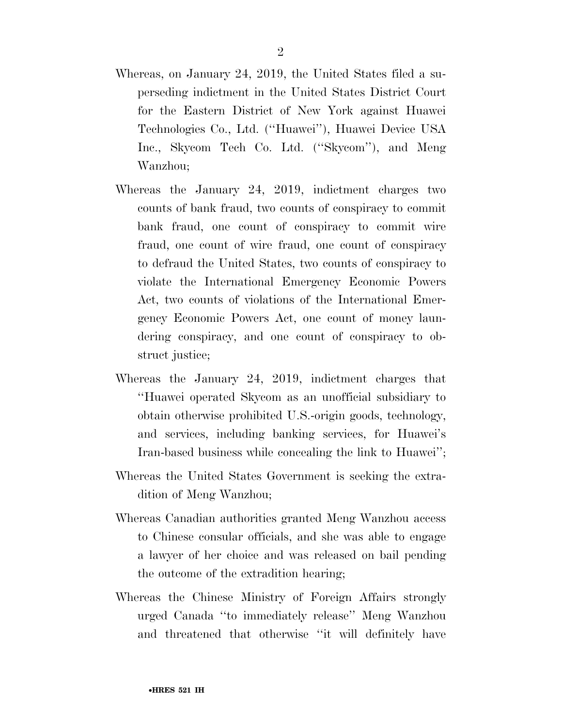- Whereas, on January 24, 2019, the United States filed a superseding indictment in the United States District Court for the Eastern District of New York against Huawei Technologies Co., Ltd. (''Huawei''), Huawei Device USA Inc., Skycom Tech Co. Ltd. (''Skycom''), and Meng Wanzhou;
- Whereas the January 24, 2019, indictment charges two counts of bank fraud, two counts of conspiracy to commit bank fraud, one count of conspiracy to commit wire fraud, one count of wire fraud, one count of conspiracy to defraud the United States, two counts of conspiracy to violate the International Emergency Economic Powers Act, two counts of violations of the International Emergency Economic Powers Act, one count of money laundering conspiracy, and one count of conspiracy to obstruct justice;
- Whereas the January 24, 2019, indictment charges that ''Huawei operated Skycom as an unofficial subsidiary to obtain otherwise prohibited U.S.-origin goods, technology, and services, including banking services, for Huawei's Iran-based business while concealing the link to Huawei'';
- Whereas the United States Government is seeking the extradition of Meng Wanzhou;
- Whereas Canadian authorities granted Meng Wanzhou access to Chinese consular officials, and she was able to engage a lawyer of her choice and was released on bail pending the outcome of the extradition hearing;
- Whereas the Chinese Ministry of Foreign Affairs strongly urged Canada ''to immediately release'' Meng Wanzhou and threatened that otherwise ''it will definitely have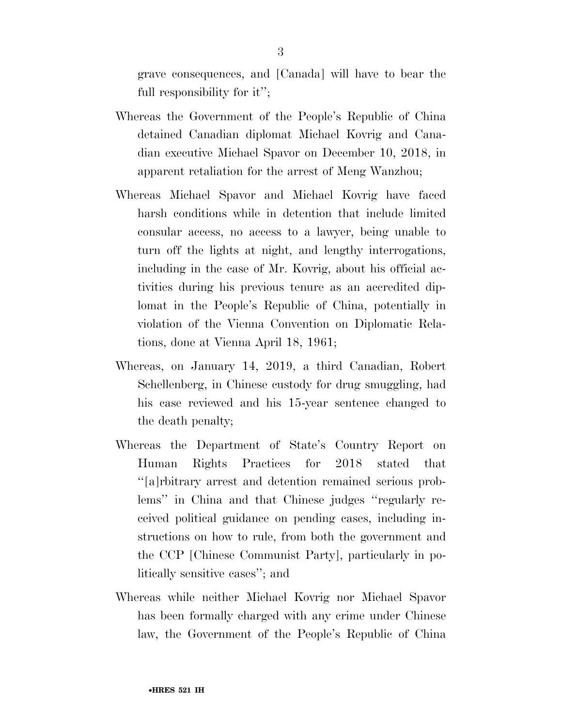grave consequences, and [Canada] will have to bear the full responsibility for it'';

- Whereas the Government of the People's Republic of China detained Canadian diplomat Michael Kovrig and Canadian executive Michael Spavor on December 10, 2018, in apparent retaliation for the arrest of Meng Wanzhou;
- Whereas Michael Spavor and Michael Kovrig have faced harsh conditions while in detention that include limited consular access, no access to a lawyer, being unable to turn off the lights at night, and lengthy interrogations, including in the case of Mr. Kovrig, about his official activities during his previous tenure as an accredited diplomat in the People's Republic of China, potentially in violation of the Vienna Convention on Diplomatic Relations, done at Vienna April 18, 1961;
- Whereas, on January 14, 2019, a third Canadian, Robert Schellenberg, in Chinese custody for drug smuggling, had his case reviewed and his 15-year sentence changed to the death penalty;
- Whereas the Department of State's Country Report on Human Rights Practices for 2018 stated that ''[a]rbitrary arrest and detention remained serious problems'' in China and that Chinese judges ''regularly received political guidance on pending cases, including instructions on how to rule, from both the government and the CCP [Chinese Communist Party], particularly in politically sensitive cases''; and
- Whereas while neither Michael Kovrig nor Michael Spavor has been formally charged with any crime under Chinese law, the Government of the People's Republic of China